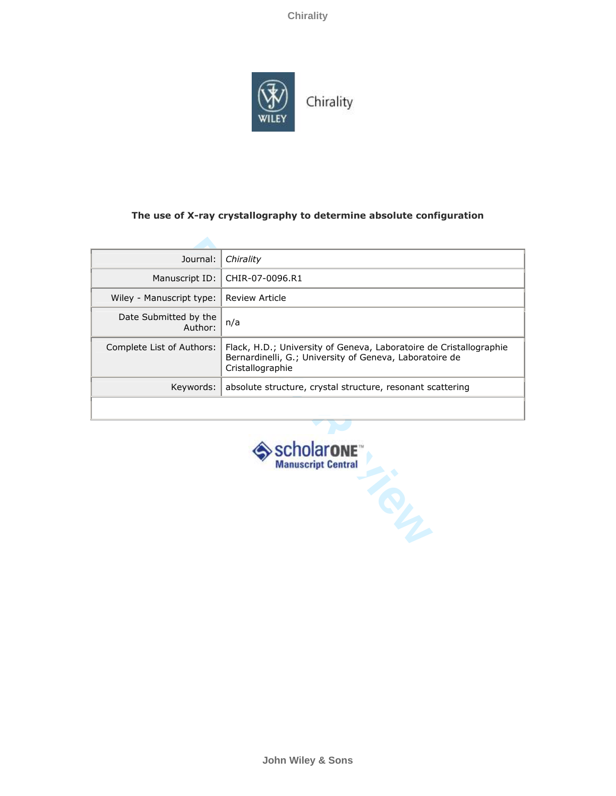**Chirality**



#### **The use of X-ray crystallography to determine absolute configuration**

| Journal:                                       | Chirality                                                                                                                                         |
|------------------------------------------------|---------------------------------------------------------------------------------------------------------------------------------------------------|
| Manuscript ID:                                 | CHIR-07-0096.R1                                                                                                                                   |
| Wiley - Manuscript type:                       | <b>Review Article</b>                                                                                                                             |
| Date Submitted by the<br>Author:               | n/a                                                                                                                                               |
| Complete List of Authors:                      | Flack, H.D.; University of Geneva, Laboratoire de Cristallographie<br>Bernardinelli, G.; University of Geneva, Laboratoire de<br>Cristallographie |
| Keywords:                                      | absolute structure, crystal structure, resonant scattering                                                                                        |
|                                                |                                                                                                                                                   |
| <b>scholaronE</b><br><b>Manuscript Central</b> |                                                                                                                                                   |

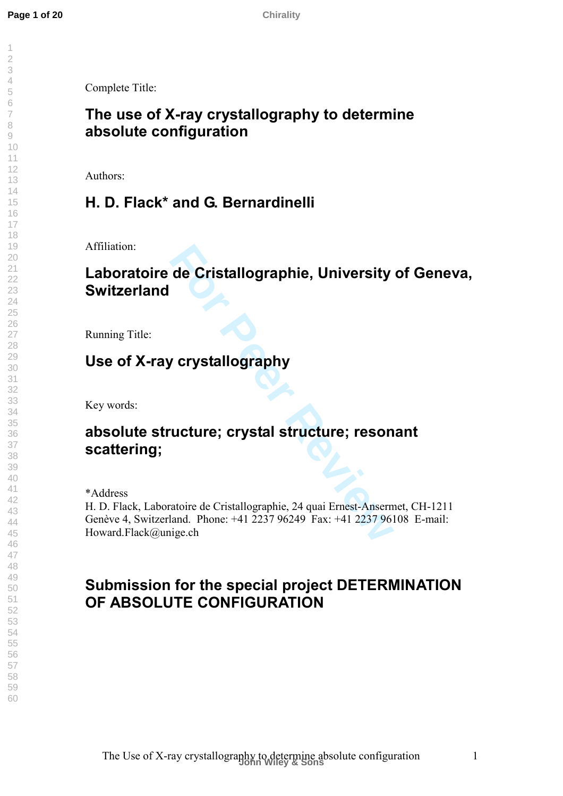Complete Title:

## **The use of X-ray crystallography to determine absolute configuration**

Authors:

### **H. D. Flack\* and G. Bernardinelli**

Affiliation:

### **Laboratoire de Cristallographie, University of Geneva, Switzerland**

Running Title:

## **Use of X-ray crystallography**

Key words:

### **absolute structure; crystal structure; resonant scattering;**

\*Address

**Formally Control Control Control Control Control Control Control Control Control Control Control Control Control Control Control Control Control Control Control Control Control Control Control Control Control Control Cont** H. D. Flack, Laboratoire de Cristallographie, 24 quai Ernest-Ansermet, CH-1211 Genève 4, Switzerland. Phone: +41 2237 96249 Fax: +41 2237 96108 E-mail: Howard.Flack@unige.ch

## **Submission for the special project DETERMINATION OF ABSOLUTE CONFIGURATION**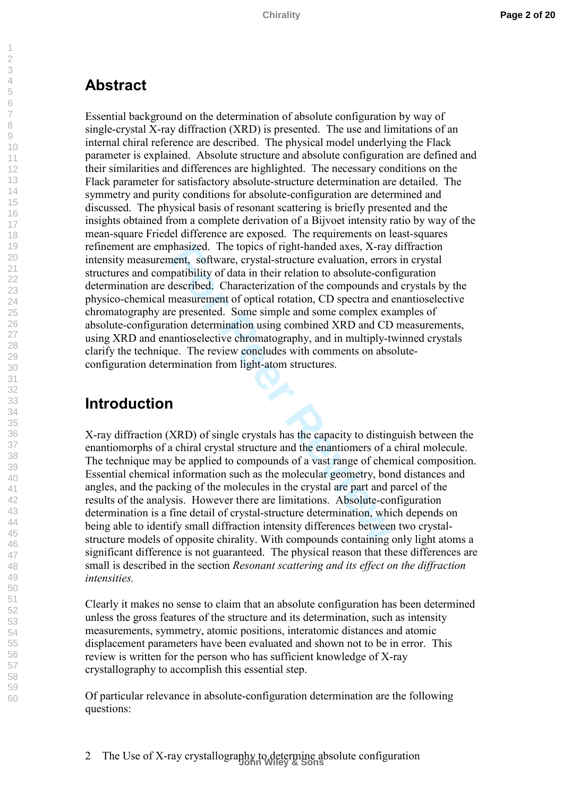### **Abstract**

bhasized. The topics of right-handed axes, X-ray<br>
nent, software, crystal-structure evaluation, errors<br>
patibility of data in their relation to absolute-conf<br>
described. Characterization of the compounds an<br>
measurement of Essential background on the determination of absolute configuration by way of single-crystal X-ray diffraction (XRD) is presented. The use and limitations of an internal chiral reference are described. The physical model underlying the Flack parameter is explained. Absolute structure and absolute configuration are defined and their similarities and differences are highlighted. The necessary conditions on the Flack parameter for satisfactory absolute-structure determination are detailed. The symmetry and purity conditions for absolute-configuration are determined and discussed. The physical basis of resonant scattering is briefly presented and the insights obtained from a complete derivation of a Bijvoet intensity ratio by way of the mean-square Friedel difference are exposed. The requirements on least-squares refinement are emphasized. The topics of right-handed axes, X-ray diffraction intensity measurement, software, crystal-structure evaluation, errors in crystal structures and compatibility of data in their relation to absolute-configuration determination are described. Characterization of the compounds and crystals by the physico-chemical measurement of optical rotation, CD spectra and enantioselective chromatography are presented. Some simple and some complex examples of absolute-configuration determination using combined XRD and CD measurements, using XRD and enantioselective chromatography, and in multiply-twinned crystals clarify the technique. The review concludes with comments on absoluteconfiguration determination from light-atom structures.

## **Introduction**

X-ray diffraction (XRD) of single crystals has the capacity to distinguish between the enantiomorphs of a chiral crystal structure and the enantiomers of a chiral molecule. The technique may be applied to compounds of a vast range of chemical composition. Essential chemical information such as the molecular geometry, bond distances and angles, and the packing of the molecules in the crystal are part and parcel of the results of the analysis. However there are limitations. Absolute-configuration determination is a fine detail of crystal-structure determination, which depends on being able to identify small diffraction intensity differences between two crystalstructure models of opposite chirality. With compounds containing only light atoms a significant difference is not guaranteed. The physical reason that these differences are small is described in the section *Resonant scattering and its effect on the diffraction intensities.*

Clearly it makes no sense to claim that an absolute configuration has been determined unless the gross features of the structure and its determination, such as intensity measurements, symmetry, atomic positions, interatomic distances and atomic displacement parameters have been evaluated and shown not to be in error. This review is written for the person who has sufficient knowledge of X-ray crystallography to accomplish this essential step.

Of particular relevance in absolute-configuration determination are the following questions: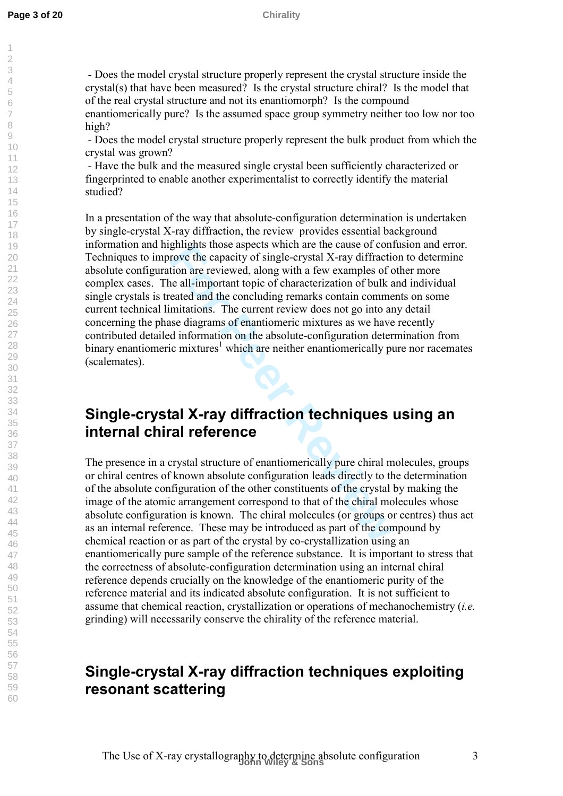$\overline{1}$  $\overline{2}$ 

60

- Does the model crystal structure properly represent the crystal structure inside the crystal(s) that have been measured? Is the crystal structure chiral? Is the model that of the real crystal structure and not its enantiomorph? Is the compound enantiomerically pure? Is the assumed space group symmetry neither too low nor too high?

 - Does the model crystal structure properly represent the bulk product from which the crystal was grown?

 - Have the bulk and the measured single crystal been sufficiently characterized or fingerprinted to enable another experimentalist to correctly identify the material studied?

ginights mose aspects which are the cause of conn<br>rove the capacity of single-crystal X-ray diffraction<br>are reviewed, along with a few examples of c<br>e all-important topic of characterization of bulk a<br>eated and the conclud In a presentation of the way that absolute-configuration determination is undertaken by single-crystal X-ray diffraction, the review provides essential background information and highlights those aspects which are the cause of confusion and error. Techniques to improve the capacity of single-crystal X-ray diffraction to determine absolute configuration are reviewed, along with a few examples of other more complex cases. The all-important topic of characterization of bulk and individual single crystals is treated and the concluding remarks contain comments on some current technical limitations. The current review does not go into any detail concerning the phase diagrams of enantiomeric mixtures as we have recently contributed detailed information on the absolute-configuration determination from binary enantiomeric mixtures<sup>1</sup> which are neither enantiomerically pure nor racemates (scalemates).

### **Single-crystal X-ray diffraction techniques using an internal chiral reference**

The presence in a crystal structure of enantiomerically pure chiral molecules, groups or chiral centres of known absolute configuration leads directly to the determination of the absolute configuration of the other constituents of the crystal by making the image of the atomic arrangement correspond to that of the chiral molecules whose absolute configuration is known. The chiral molecules (or groups or centres) thus act as an internal reference. These may be introduced as part of the compound by chemical reaction or as part of the crystal by co-crystallization using an enantiomerically pure sample of the reference substance. It is important to stress that the correctness of absolute-configuration determination using an internal chiral reference depends crucially on the knowledge of the enantiomeric purity of the reference material and its indicated absolute configuration. It is not sufficient to assume that chemical reaction, crystallization or operations of mechanochemistry (*i.e.* grinding) will necessarily conserve the chirality of the reference material.

## **Single-crystal X-ray diffraction techniques exploiting resonant scattering**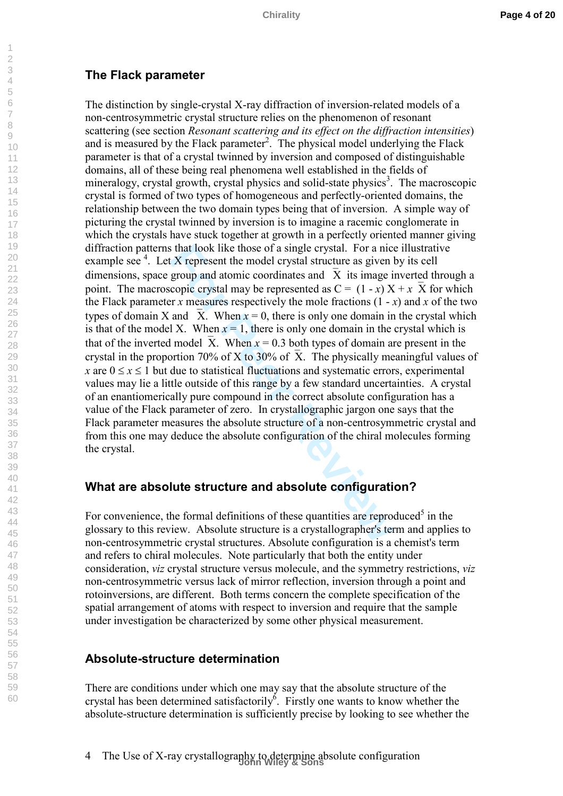### **The Flack parameter**

**Example 15** that look like those of a single crystal. For a nic X represent the model crystal structure as given group and atomic coordinates and  $\overline{X}$  its image i copic crystal may be represented as  $C = (1 - x) X$   $rx$   $rx$ The distinction by single-crystal X-ray diffraction of inversion-related models of a non-centrosymmetric crystal structure relies on the phenomenon of resonant scattering (see section *Resonant scattering and its effect on the diffraction intensities* ) and is measured by the Flack parameter<sup>2</sup>. The physical model underlying the Flack parameter is that of a crystal twinned by inversion and composed of distinguishable domains, all of these being real phenomena well established in the fields of mineralogy, crystal growth, crystal physics and solid-state physics<sup>3</sup>. The macroscopic crystal is formed of two types of homogeneous and perfectly-oriented domains, the relationship between the two domain types being that of inversion. A simple way of picturing the crystal twinned by inversion is to imagine a racemic conglomerate in which the crystals have stuck together at growth in a perfectly oriented manner giving diffraction patterns that look like those of a single crystal. For a nice illustrative example see<sup>4</sup>. Let X represent the model crystal structure as given by its cell dimensions, space group and atomic coordinates and X its image inverted through a point. The macroscopic crystal may be represented as  $C = (1 - x)X + xX$  for which the Flack parameter x measures respectively the mole fractions  $(1 - x)$  and x of the two types of domain X and X. When  $x = 0$ , there is only one domain in the crystal which is that of the model X. When  $x = 1$ , there is only one domain in the crystal which is that of the inverted model X. When  $x = 0.3$  both types of domain are present in the crystal in the proportion 70% of X to 30% of X. The physically meaningful values of *x* are  $0 \le x \le 1$  but due to statistical fluctuations and systematic errors, experimental values may lie a little outside of this range by a few standard uncertainties. A crystal of an enantiomerically pure compound in the correct absolute configuration has a value of the Flack parameter of zero. In crystallographic jargon one says that the Flack parameter measures the absolute structure of a non-centrosymmetric crystal and from this one may deduce the absolute configuration of the chiral molecules forming the crystal.

### **What are absolute structure and absolute configuration?**

For convenience, the formal definitions of these quantities are reproduced<sup>5</sup> in the glossary to this review. Absolute structure is a crystallographer's term and applies to non-centrosymmetric crystal structures. Absolute configuration is a chemist's term and refers to chiral molecules. Note particularly that both the entity under consideration, *viz* crystal structure versus molecule, and the symmetry restrictions, *viz* non-centrosymmetric versus lack of mirror reflection, inversion through a point and rotoinversions, are different. Both terms concern the complete specification of the spatial arrangement of atoms with respect to inversion and require that the sample under investigation be characterized by some other physical measurement.

### **Absolute-structure determination**

There are conditions under which one may say that the absolute structure of the crystal has been determined satisfactorily<sup>6</sup>. Firstly one wants to know whether the absolute-structure determination is sufficiently precise by looking to see whether the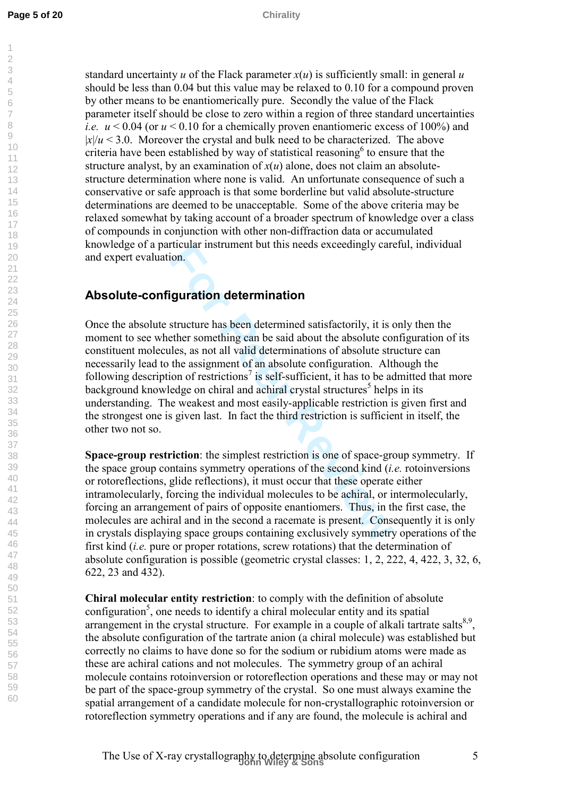$\overline{1}$  $\overline{2}$  $\overline{\mathcal{E}}$  $\overline{4}$ 5 6  $\overline{7}$ 8  $\mathcal{G}$ 

standard uncertainty  $u$  of the Flack parameter  $x(u)$  is sufficiently small: in general  $u$ should be less than 0.04 but this value may be relaxed to 0.10 for a compound proven by other means to be enantiomerically pure. Secondly the value of the Flack parameter itself should be close to zero within a region of three standard uncertainties *i.e.*  $u \leq 0.04$  (or  $u \leq 0.10$  for a chemically proven enantiomeric excess of 100%) and  $|x|/u$  < 3.0. Moreover the crystal and bulk need to be characterized. The above criteria have been established by way of statistical reasoning  $6$  to ensure that the structure analyst, by an examination of  $x(u)$  alone, does not claim an absolutestructure determination where none is valid. An unfortunate consequence of such a conservative or safe approach is that some borderline but valid absolute-structure determinations are deemed to be unacceptable. Some of the above criteria may be relaxed somewhat by taking account of a broader spectrum of knowledge over a class of compounds in conjunction with other non-diffraction data or accumulated knowledge of a particular instrument but this needs exceedingly careful, individual and expert evaluation.

### **Absolute-configuration determination**

**Exercise 2 For Perron State State State State State State State State State State State State State State State State State State State State State State State State State State State State State State State State State** Once the absolute structure has been determined satisfactorily, it is only then the moment to see whether something can be said about the absolute configuration of its constituent molecules, as not all valid determinations of absolute structure can necessarily lead to the assignment of an absolute configuration. Although the following description of restrictions<sup>7</sup> is self-sufficient, it has to be admitted that more background knowledge on chiral and achiral crystal structures<sup>5</sup> helps in its understanding. The weakest and most easily-applicable restriction is given first and the strongest one is given last. In fact the third restriction is sufficient in itself, the other two not so.

Space-group restriction: the simplest restriction is one of space-group symmetry. If the space group contains symmetry operations of the second kind (*i.e.* rotoinversions or rotoreflections, glide reflections), it must occur that these operate either intramolecularly, forcing the individual molecules to be achiral, or intermolecularly, forcing an arrangement of pairs of opposite enantiomers. Thus, in the first case, the molecules are achiral and in the second a racemate is present. Consequently it is only in crystals displaying space groups containing exclusively symmetry operations of the first kind (*i.e.* pure or proper rotations, screw rotations) that the determination of absolute configuration is possible (geometric crystal classes: 1, 2, 222, 4, 422, 3, 32, 6, 622, 23 and 432).

**Chiral molecular entity restriction** : to comply with the definition of absolute configuration 5 , one needs to identify a chiral molecular entity and its spatial arrangement in the crystal structure. For example in a couple of alkali tartrate salts $^{8,9}$ , the absolute configuration of the tartrate anion (a chiral molecule) was established but correctly no claims to have done so for the sodium or rubidium atoms were made as these are achiral cations and not molecules. The symmetry group of an achiral molecule contains rotoinversion or rotoreflection operations and these may or may not be part of the space-group symmetry of the crystal. So one must always examine the spatial arrangement of a candidate molecule for non-crystallographic rotoinversion or rotoreflection symmetry operations and if any are found, the molecule is achiral and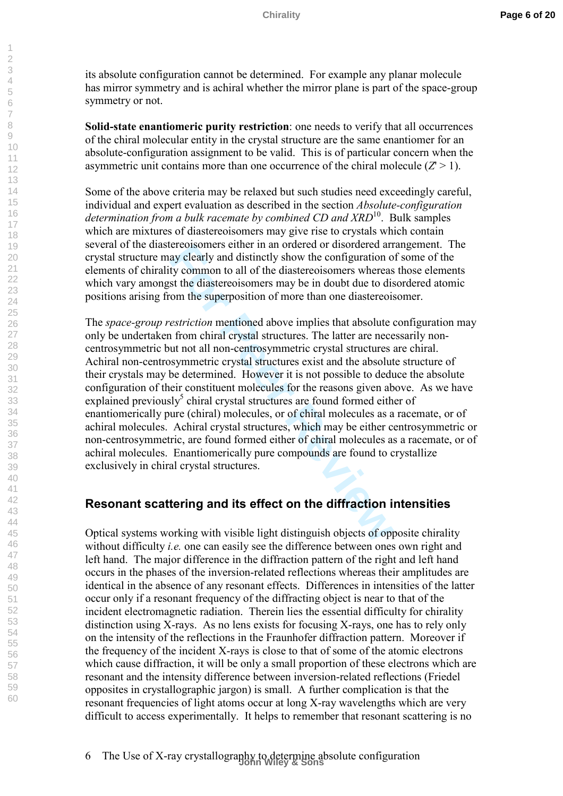its absolute configuration cannot be determined. For example any planar molecule has mirror symmetry and is achiral whether the mirror plane is part of the space-group symmetry or not.

**Solid-state enantiomeric purity restriction** : one needs to verify that all occurrences of the chiral molecular entity in the crystal structure are the same enantiomer for an absolute-configuration assignment to be valid. This is of particular concern when the asymmetric unit contains more than one occurrence of the chiral molecule  $(Z > 1)$ .

Some of the above criteria may be relaxed but such studies need exceedingly careful, individual and expert evaluation as described in the section *Absolute-configuration*  determination from a bulk racemate by combined CD and XRD<sup>10</sup>. Bulk samples which are mixtures of diastereoisomers may give rise to crystals which contain several of the diastereoisomers either in an ordered or disordered arrangement. The crystal structure may clearly and distinctly show the configuration of some of the elements of chirality common to all of the diastereoisomers whereas those elements which vary amongst the diastereoisomers may be in doubt due to disordered atomic positions arising from the superposition of more than one diastereoisomer.

ereoisomers either in an ordered or disordered arrival and distinctly show the configuration of ty common to all of the diastereoisomers whereas st the diastereoisomers may be in doubt due to disom the superposition of mor The *space-group restriction* mentioned above implies that absolute configuration may only be undertaken from chiral crystal structures. The latter are necessarily noncentrosymmetric but not all non-centrosymmetric crystal structures are chiral. Achiral non-centrosymmetric crystal structures exist and the absolute structure of their crystals may be determined. However it is not possible to deduce the absolute configuration of their constituent molecules for the reasons given above. As we have explained previously<sup>5</sup> chiral crystal structures are found formed either of enantiomerically pure (chiral) molecules, or of chiral molecules as a racemate, or of achiral molecules. Achiral crystal structures, which may be either centrosymmetric or non-centrosymmetric, are found formed either of chiral molecules as a racemate, or of achiral molecules. Enantiomerically pure compounds are found to crystallize exclusively in chiral crystal structures.

#### **Resonant scattering and its effect on the diffraction intensities**

Optical systems working with visible light distinguish objects of opposite chirality without difficulty *i.e.* one can easily see the difference between ones own right and left hand. The major difference in the diffraction pattern of the right and left hand occurs in the phases of the inversion-related reflections whereas their amplitudes are identical in the absence of any resonant effects. Differences in intensities of the latter occur only if a resonant frequency of the diffracting object is near to that of the incident electromagnetic radiation. Therein lies the essential difficulty for chirality distinction using X-rays. As no lens exists for focusing X-rays, one has to rely only on the intensity of the reflections in the Fraunhofer diffraction pattern. Moreover if the frequency of the incident X-rays is close to that of some of the atomic electrons which cause diffraction, it will be only a small proportion of these electrons which are resonant and the intensity difference between inversion-related reflections (Friedel opposites in crystallographic jargon) is small. A further complication is that the resonant frequencies of light atoms occur at long X-ray wavelengths which are very difficult to access experimentally. It helps to remember that resonant scattering is no

 $\overline{1}$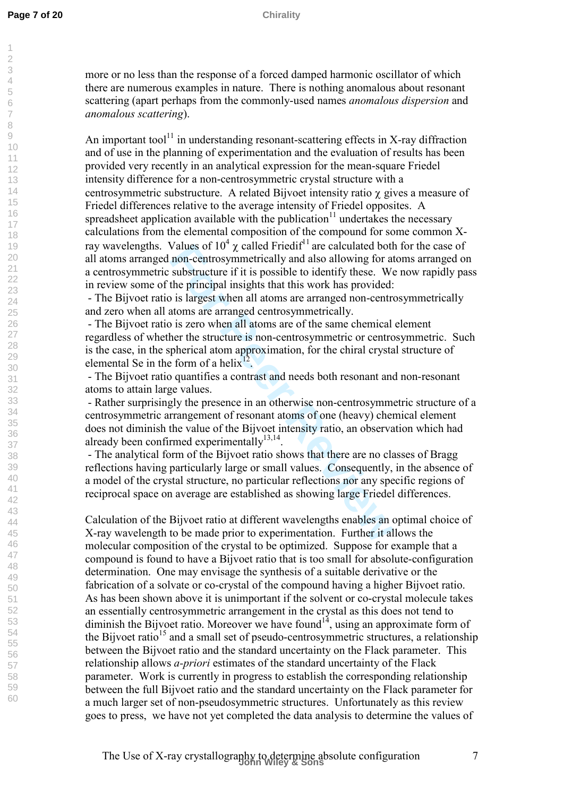$\overline{1}$  $\overline{2}$  $\overline{\mathcal{E}}$  $\overline{4}$ 5 6  $\overline{7}$ 8  $\mathcal{G}$ 

#### **Chirality**

more or no less than the response of a forced damped harmonic oscillator of which there are numerous examples in nature. There is nothing anomalous about resonant scattering (apart perhaps from the commonly-used names *anomalous dispersion* and *anomalous scattering*).

An important tool<sup>11</sup> in understanding resonant-scattering effects in X-ray diffraction and of use in the planning of experimentation and the evaluation of results has been provided very recently in an analytical expression for the mean-square Friedel intensity difference for a non-centrosymmetric crystal structure with a centrosymmetric substructure. A related Bijvoet intensity ratio  $\chi$  gives a measure of Friedel differences relative to the average intensity of Friedel opposites. A spreadsheet application available with the publication<sup>11</sup> undertakes the necessary calculations from the elemental composition of the compound for some common Xray wavelengths. Values of  $10^4 \gamma$  called Friedif<sup>11</sup> are calculated both for the case of all atoms arranged non-centrosymmetrically and also allowing for atoms arranged on a centrosymmetric substructure if it is possible to identify these. We now rapidly pass in review some of the principal insights that this work has provided:

 - The Bijvoet ratio is largest when all atoms are arranged non-centrosymmetrically and zero when all atoms are arranged centrosymmetrically.

 - The Bijvoet ratio is zero when all atoms are of the same chemical element regardless of whether the structure is non-centrosymmetric or centrosymmetric. Such is the case, in the spherical atom approximation, for the chiral crystal structure of elemental Se in the form of a helix<sup>12</sup>.

- The Bijvoet ratio quantifies a contrast and needs both resonant and non-resonant atoms to attain large values.

 - Rather surprisingly the presence in an otherwise non-centrosymmetric structure of a centrosymmetric arrangement of resonant atoms of one (heavy) chemical element does not diminish the value of the Bijvoet intensity ratio, an observation which had already been confirmed experimentally $13,14$ .

Values of 10'  $\chi$  called Friedit<sup>1</sup>' are calculated both<br>non-centrosymmetrically and also allowing for at<br>substructure if it is possible to identify these. We<br>the principal insights that this work has provided:<br>is larges - The analytical form of the Bijvoet ratio shows that there are no classes of Bragg reflections having particularly large or small values. Consequently, in the absence of a model of the crystal structure, no particular reflections nor any specific regions of reciprocal space on average are established as showing large Friedel differences.

Calculation of the Bijvoet ratio at different wavelengths enables an optimal choice of X-ray wavelength to be made prior to experimentation. Further it allows the molecular composition of the crystal to be optimized. Suppose for example that a compound is found to have a Bijvoet ratio that is too small for absolute-configuration determination. One may envisage the synthesis of a suitable derivative or the fabrication of a solvate or co-crystal of the compound having a higher Bijvoet ratio. As has been shown above it is unimportant if the solvent or co-crystal molecule takes an essentially centrosymmetric arrangement in the crystal as this does not tend to diminish the Bijvoet ratio. Moreover we have found<sup>14</sup>, using an approximate form of the Bijvoet ratio<sup>15</sup> and a small set of pseudo-centrosymmetric structures, a relationship between the Bijvoet ratio and the standard uncertainty on the Flack parameter. This relationship allows *a-priori* estimates of the standard uncertainty of the Flack parameter. Work is currently in progress to establish the corresponding relationship between the full Bijvoet ratio and the standard uncertainty on the Flack parameter for a much larger set of non-pseudosymmetric structures. Unfortunately as this review goes to press, we have not yet completed the data analysis to determine the values of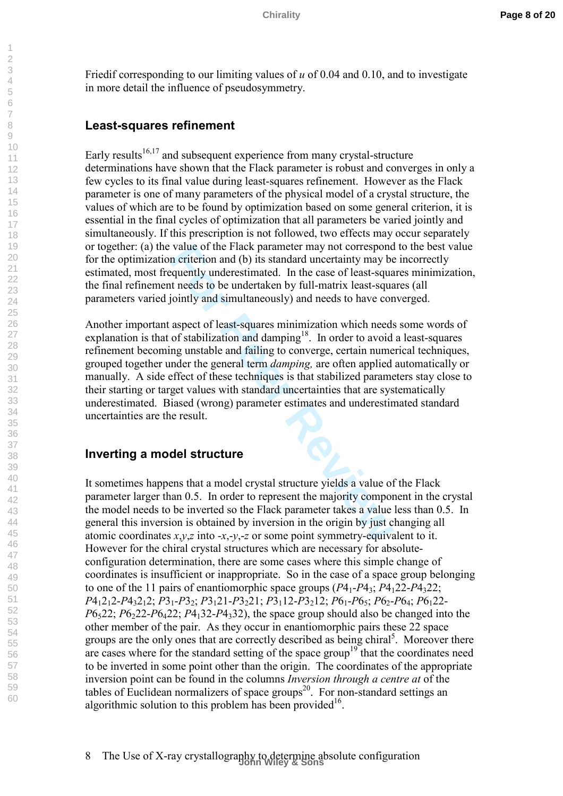Friedif corresponding to our limiting values of  $u$  of 0.04 and 0.10, and to investigate in more detail the influence of pseudosymmetry.

#### **Least-squares refinement**

Early results<sup>16,17</sup> and subsequent experience from many crystal-structure determinations have shown that the Flack parameter is robust and converges in only a few cycles to its final value during least-squares refinement. However as the Flack parameter is one of many parameters of the physical model of a crystal structure, the values of which are to be found by optimization based on some general criterion, it is essential in the final cycles of optimization that all parameters be varied jointly and simultaneously. If this prescription is not followed, two effects may occur separately or together: (a) the value of the Flack parameter may not correspond to the best value for the optimization criterion and (b) its standard uncertainty may be incorrectly estimated, most frequently underestimated. In the case of least-squares minimization, the final refinement needs to be undertaken by full-matrix least-squares (all parameters varied jointly and simultaneously) and needs to have converged.

value of the Flack parameter may not correspond<br>n criterion and (b) its standard uncertainty may be<br>quently underestimated. In the case of least-squa<br>it needs to be undertaken by full-matrix least-squa<br>jointly and simulta Another important aspect of least-squares minimization which needs some words of explanation is that of stabilization and damping<sup>18</sup>. In order to avoid a least-squares refinement becoming unstable and failing to converge, certain numerical techniques, grouped together under the general term *damping,* are often applied automatically or manually. A side effect of these techniques is that stabilized parameters stay close to their starting or target values with standard uncertainties that are systematically underestimated. Biased (wrong) parameter estimates and underestimated standard uncertainties are the result.

#### **Inverting a model structure**

It sometimes happens that a model crystal structure yields a value of the Flack parameter larger than 0.5. In order to represent the majority component in the crystal the model needs to be inverted so the Flack parameter takes a value less than 0.5. In general this inversion is obtained by inversion in the origin by just changing all atomic coordinates  $x, y, z$  into  $-x, -y, -z$  or some point symmetry-equivalent to it. However for the chiral crystal structures which are necessary for absoluteconfiguration determination, there are some cases where this simple change of coordinates is insufficient or inappropriate. So in the case of a space group belonging to one of the 11 pairs of enantiomorphic space groups  $(P4_1-P4_3; P4_122-P4_322;$ *P*<sup>4</sup><sub>1</sub>2<sub>1</sub>2-P<sup>4</sup><sub>3</sub>2<sub>1</sub>2; *P*3<sub>1</sub>-P<sub>3</sub><sub>2</sub>; *P*3<sub>1</sub>21-P<sub>3</sub><sub>2</sub>21; *P*3<sub>1</sub>12-P<sub>3</sub><sub>2</sub>12; *P*6<sub>1</sub>-P6<sub>5</sub>; *P*6<sub>2</sub>-P6<sub>4</sub>; *P*6<sub>1</sub>22- $P6<sub>5</sub>22$ ;  $P6<sub>2</sub>22-P6<sub>4</sub>22$ ;  $P4<sub>1</sub>32-P4<sub>3</sub>32$ ), the space group should also be changed into the other member of the pair. As they occur in enantiomorphic pairs these 22 space groups are the only ones that are correctly described as being chiral<sup>5</sup>. Moreover there are cases where for the standard setting of the space group<sup>19</sup> that the coordinates need to be inverted in some point other than the origin. The coordinates of the appropriate inversion point can be found in the columns *Inversion through a centre at* of the tables of Euclidean normalizers of space groups<sup>20</sup>. For non-standard settings an algorithmic solution to this problem has been provided<sup>16</sup>.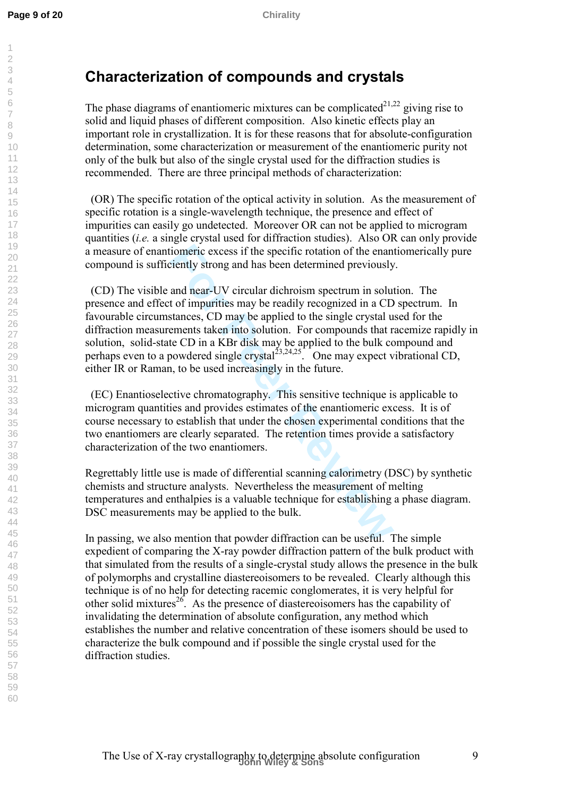$\overline{1}$  $\overline{2}$  $\overline{\mathcal{E}}$  $\overline{4}$ 5 6  $\overline{7}$ 8 9

## **Characterization of compounds and crystals**

The phase diagrams of enantiomeric mixtures can be complicated<sup>21,22</sup> giving rise to solid and liquid phases of different composition. Also kinetic effects play an important role in crystallization. It is for these reasons that for absolute-configuration determination, some characterization or measurement of the enantiomeric purity not only of the bulk but also of the single crystal used for the diffraction studies is recommended. There are three principal methods of characterization:

(OR) The specific rotation of the optical activity in solution. As the measurement of specific rotation is a single-wavelength technique, the presence and effect of impurities can easily go undetected. Moreover OR can not be applied to microgram quantities (*i.e.*<sup>a</sup> single crystal used for diffraction studies). Also OR can only provide a measure of enantiomeric excess if the specific rotation of the enantiomerically pure compound is sufficiently strong and has been determined previously.

iomeric excess if the specific rotation of the enan<br>
Fiently strong and has been determined previously<br>
and near-UV circular dichroism spectrum in solu<br>
to f impurities may be readily recognized in a CD<br>
stances, CD may be (CD) The visible and near-UV circular dichroism spectrum in solution. The presence and effect of impurities may be readily recognized in a CD spectrum. In favourable circumstances, CD may be applied to the single crystal used for the diffraction measurements taken into solution. For compounds that racemize rapidly in solution, solid-state CD in a KBr disk may be applied to the bulk compound and perhaps even to a powdered single crystal<sup>23,24,25</sup>. One may expect vibrational CD, either IR or Raman, to be used increasingly in the future.

(EC) Enantioselective chromatography. This sensitive technique is applicable to microgram quantities and provides estimates of the enantiomeric excess. It is of course necessary to establish that under the chosen experimental conditions that the two enantiomers are clearly separated. The retention times provide a satisfactory characterization of the two enantiomers.

Regrettably little use is made of differential scanning calorimetry (DSC) by synthetic chemists and structure analysts. Nevertheless the measurement of melting temperatures and enthalpies is a valuable technique for establishing a phase diagram. DSC measurements may be applied to the bulk.

In passing, we also mention that powder diffraction can be useful. The simple expedient of comparing the X-ray powder diffraction pattern of the bulk product with that simulated from the results of a single-crystal study allows the presence in the bulk of polymorphs and crystalline diastereoisomers to be revealed. Clearly although this technique is of no help for detecting racemic conglomerates, it is very helpful for other solid mixtures<sup>26</sup>. As the presence of diastereoisomers has the capability of invalidating the determination of absolute configuration, any method which establishes the number and relative concentration of these isomers should be used to characterize the bulk compound and if possible the single crystal used for the diffraction studies.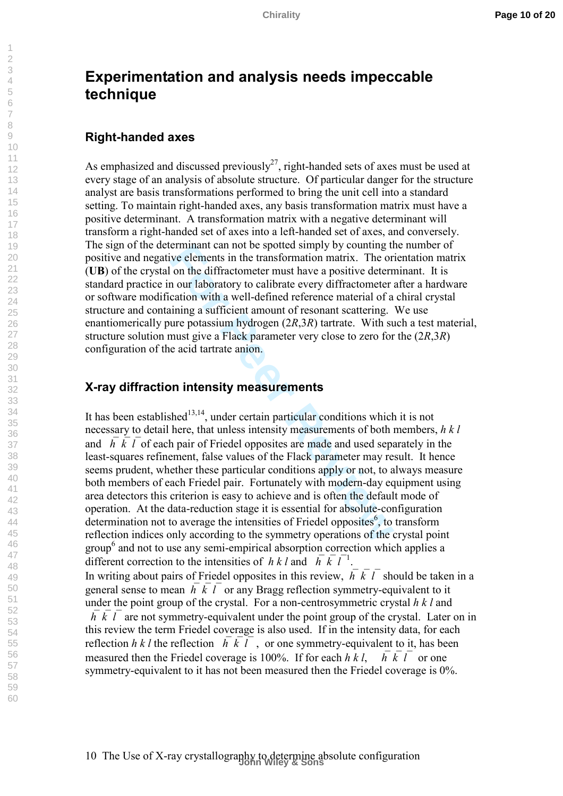### **Experimentation and analysis needs impeccable technique**

#### **Right-handed axes**

As emphasized and discussed previously<sup>27</sup>, right-handed sets of axes must be used at every stage of an analysis of absolute structure. Of particular danger for the structure analyst are basis transformations performed to bring the unit cell into a standard setting. To maintain right-handed axes, any basis transformation matrix must have a positive determinant. A transformation matrix with a negative determinant will transform a right-handed set of axes into a left-handed set of axes, and conversely. The sign of the determinant can not be spotted simply by counting the number of positive and negative elements in the transformation matrix. The orientation matrix (**UB**) of the crystal on the diffractometer must have a positive determinant. It is standard practice in our laboratory to calibrate every diffractometer after a hardware or software modification with a well-defined reference material of a chiral crystal structure and containing a sufficient amount of resonant scattering. We use enantiomerically pure potassium hydrogen (2R,3R) tartrate. With such a test material, structure solution must give a Flack parameter very close to zero for the  $(2R,3R)$ configuration of the acid tartrate anion.

#### **X-ray diffraction intensity measurements**

erminant can not be spotted simply by counting tive elements in the transformation matrix. The or<br>on the diffractometer must have a positive detern<br>our laboratory to calibrate every diffractometer<br>action with a well-define It has been established<sup>13,14</sup>, under certain particular conditions which it is not necessary to detail here, that unless intensity measurements of both members, *h k l* and *h k l* of each pair of Friedel opposites are made and used separately in the least-squares refinement, false values of the Flack parameter may result. It hence seems prudent, whether these particular conditions apply or not, to always measure both members of each Friedel pair. Fortunately with modern-day equipment using area detectors this criterion is easy to achieve and is often the default mode of operation. At the data-reduction stage it is essential for absolute-configuration determination not to average the intensities of Friedel opposites<sup>6</sup>, to transform reflection indices only according to the symmetry operations of the crystal point group <sup>6</sup> and not to use any semi-empirical absorption correction which applies a different correction to the intensities of *h* k l and  $\overline{h} \overline{k} \overline{l}^{-1}$ . In writing about pairs of Friedel opposites in this review,  $\overline{h} \overline{k} \overline{l}$  should be taken in a general sense to mean *h k l* or any Bragg reflection symmetry-equivalent to it under the point group of the crystal. For a non-centrosymmetric crystal *h k l* and

*h k l* are not symmetry-equivalent under the point group of the crystal. Later on in this review the term Friedel coverage is also used. If in the intensity data, for each reflection  $h \, k \, l$  the reflection  $h \, k \, l$ , or one symmetry-equivalent to it, has been measured then the Friedel coverage is 100%. If for each  $h \, k \, l$ ,  $\overline{h} \, \overline{k} \, \overline{l}$  or one symmetry-equivalent to it has not been measured then the Friedel coverage is 0%.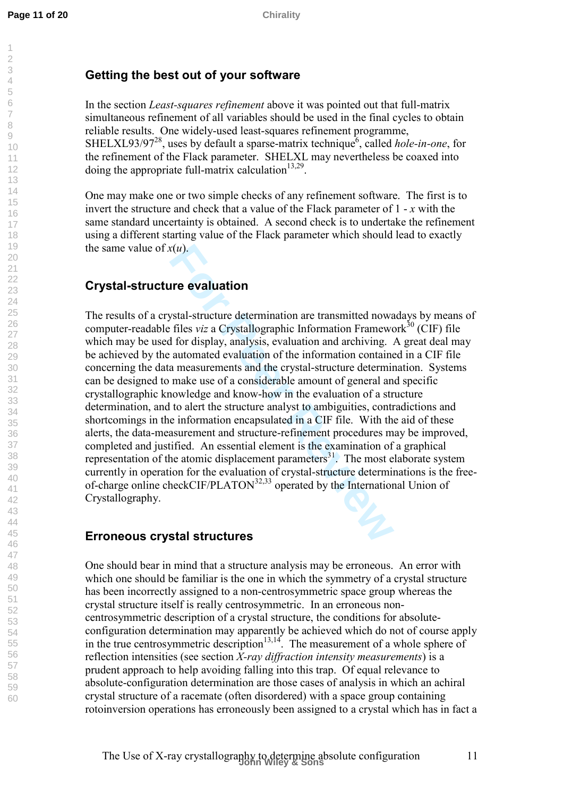$\overline{1}$  $\overline{2}$  $\overline{\mathcal{E}}$  $\overline{4}$ 5 6  $\overline{7}$ 8 9

### **Getting the best out of your software**

In the section *Least-squares refinement* above it was pointed out that full-matrix simultaneous refinement of all variables should be used in the final cycles to obtain reliable results. One widely-used least-squares refinement programme, SHELXL93/97<sup>28</sup>, uses by default a sparse-matrix technique<sup>6</sup>, called *hole-in-one*, for the refinement of the Flack parameter. SHELXL may nevertheless be coaxed into doing the appropriate full-matrix calculation $13,29$ .

One may make one or two simple checks of any refinement software. The first is to invert the structure and check that a value of the Flack parameter of 1 - *x* with the same standard uncertainty is obtained. A second check is to undertake the refinement using a different starting value of the Flack parameter which should lead to exactly the same value of  $x(u)$ .

#### **Crystal-structure evaluation**

re **evaluation**<br> **Formulation**<br> **Formulation**<br> **Formulation**<br> **Formulation**<br> **Formulation**<br> **Formulation**<br> **Formulation**<br> **Formulation**<br> **Formulation**<br> **Formulation**<br> **Formulation**<br> **Formulation**<br> **Formulation**<br> **Formulat** The results of a crystal-structure determination are transmitted nowadays by means of computer-readable files *viz* a Crystallographic Information Framework<sup>30</sup> (CIF) file which may be used for display, analysis, evaluation and archiving. A great deal may be achieved by the automated evaluation of the information contained in a CIF file concerning the data measurements and the crystal-structure determination. Systems can be designed to make use of a considerable amount of general and specific crystallographic knowledge and know-how in the evaluation of a structure determination, and to alert the structure analyst to ambiguities, contradictions and shortcomings in the information encapsulated in a CIF file. With the aid of these alerts, the data-measurement and structure-refinement procedures may be improved, completed and justified. An essential element is the examination of a graphical representation of the atomic displacement parameters<sup>31</sup>. The most elaborate system currently in operation for the evaluation of crystal-structure determinations is the freeof-charge online checkCIF/PLATON<sup>32,33</sup> operated by the International Union of Crystallography.

#### **Erroneous crystal structures**

One should bear in mind that a structure analysis may be erroneous. An error with which one should be familiar is the one in which the symmetry of a crystal structure has been incorrectly assigned to a non-centrosymmetric space group whereas the crystal structure itself is really centrosymmetric. In an erroneous noncentrosymmetric description of a crystal structure, the conditions for absoluteconfiguration determination may apparently be achieved which do not of course apply in the true centrosymmetric description<sup>13,14</sup>. The measurement of a whole sphere of reflection intensities (see section *X-ray diffraction intensity measurements* ) is a prudent approach to help avoiding falling into this trap. Of equal relevance to absolute-configuration determination are those cases of analysis in which an achiral crystal structure of a racemate (often disordered) with a space group containing rotoinversion operations has erroneously been assigned to a crystal which has in fact a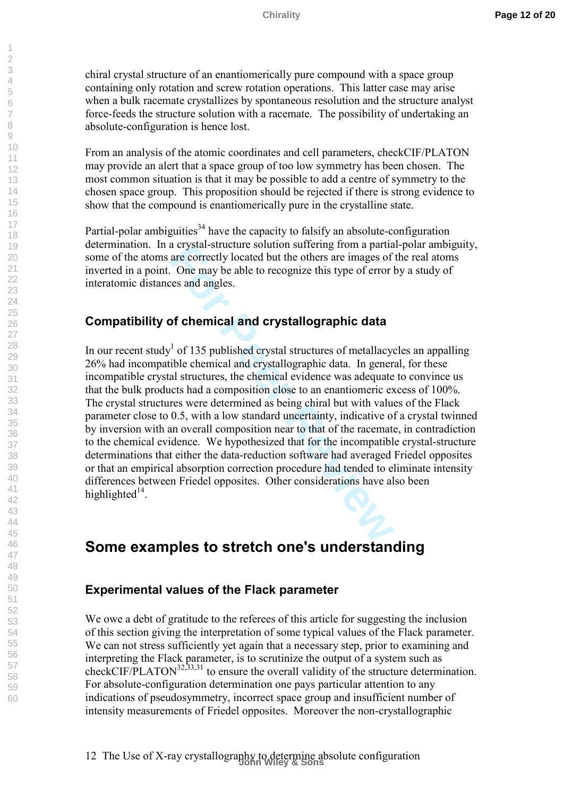chiral crystal structure of an enantiomerically pure compound with a space group containing only rotation and screw rotation operations. This latter case may arise when a bulk racemate crystallizes by spontaneous resolution and the structure analyst force-feeds the structure solution with a racemate. The possibility of undertaking an absolute-configuration is hence lost.

From an analysis of the atomic coordinates and cell parameters, checkCIF/PLATON may provide an alert that a space group of too low symmetry has been chosen. The most common situation is that it may be possible to add a centre of symmetry to the chosen space group. This proposition should be rejected if there is strong evidence to show that the compound is enantiomerically pure in the crystalline state.

Partial-polar ambiguities<sup>34</sup> have the capacity to falsify an absolute-configuration determination. In a crystal-structure solution suffering from a partial-polar ambiguity, some of the atoms are correctly located but the others are images of the real atoms inverted in a point. One may be able to recognize this type of error by a study of interatomic distances and angles.

#### **Compatibility of chemical and crystallographic data**

a crystal-structure solution surfering from a partia<br>are correctly located but the others are images of<br>One may be able to recognize this type of error<br>res and angles.<br>**Solution** and **Crystallographic data**<br> $\frac{1}{1}$  of 13 In our recent study<sup>1</sup> of 135 published crystal structures of metallacycles an appalling 26% had incompatible chemical and crystallographic data. In general, for these incompatible crystal structures, the chemical evidence was adequate to convince us that the bulk products had a composition close to an enantiomeric excess of 100%. The crystal structures were determined as being chiral but with values of the Flack parameter close to 0.5, with a low standard uncertainty, indicative of a crystal twinned by inversion with an overall composition near to that of the racemate, in contradiction to the chemical evidence. We hypothesized that for the incompatible crystal-structure determinations that either the data-reduction software had averaged Friedel opposites or that an empirical absorption correction procedure had tended to eliminate intensity differences between Friedel opposites. Other considerations have also been highlighted<sup>14</sup>.

### **Some examples to stretch one's understanding**

### **Experimental values of the Flack parameter**

We owe a debt of gratitude to the referees of this article for suggesting the inclusion of this section giving the interpretation of some typical values of the Flack parameter. We can not stress sufficiently yet again that a necessary step, prior to examining and interpreting the Flack parameter, is to scrutinize the output of a system such as checkCIF/PLATON32,33,31 to ensure the overall validity of the structure determination. For absolute-configuration determination one pays particular attention to any indications of pseudosymmetry, incorrect space group and insufficient number of intensity measurements of Friedel opposites. Moreover the non-crystallographic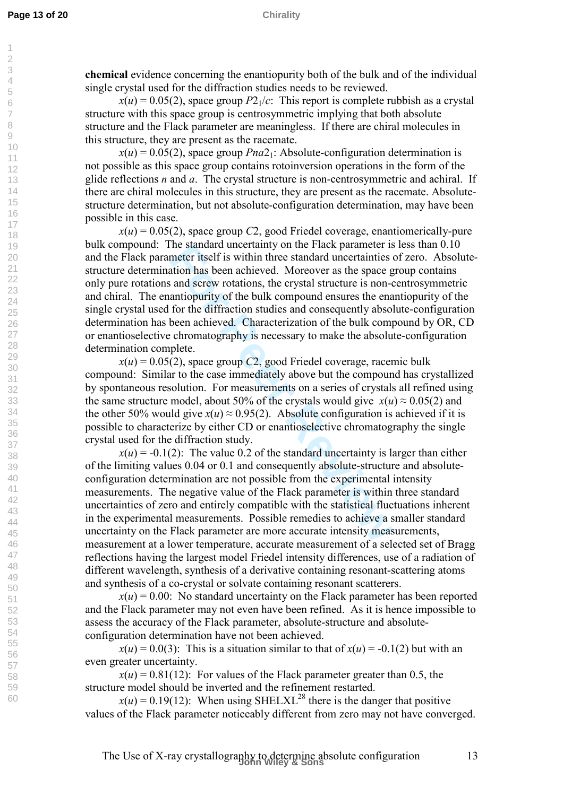**Page 13 of 20**

123456789

 $\overline{1}$  $\overline{2}$  $\overline{\mathcal{L}}$  $\overline{4}$ 5 6  $\overline{7}$ 8 9

#### **Chirality**

**chemical** evidence concerning the enantiopurity both of the bulk and of the individual single crystal used for the diffraction studies needs to be reviewed.

 $x(u) = 0.05(2)$ , space group  $P2<sub>1</sub>/c$ : This report is complete rubbish as a crystal structure with this space group is centrosymmetric implying that both absolute structure and the Flack parameter are meaningless. If there are chiral molecules in this structure, they are present as the racemate.

 $x(u) = 0.05(2)$ , space group *Pna*2<sub>1</sub>: Absolute-configuration determination is not possible as this space group contains rotoinversion operations in the form of the glide reflections *n* and *a* . The crystal structure is non-centrosymmetric and achiral. If there are chiral molecules in this structure, they are present as the racemate. Absolutestructure determination, but not absolute-configuration determination, may have been possible in this case.

ne standard uncertainty on the Flack parameter is<br>meter itself is within three standard uncertainties of<br>tion has been achieved. Moreover as the space g<br>and screw rotations, the crystal structure is non-<br>cantropurity of t  $x(u) = 0.05(2)$ , space group C2, good Friedel coverage, enantiomerically-pure bulk compound: The standard uncertainty on the Flack parameter is less than 0.10 and the Flack parameter itself is within three standard uncertainties of zero. Absolutestructure determination has been achieved. Moreover as the space group contains only pure rotations and screw rotations, the crystal structure is non-centrosymmetric and chiral. The enantiopurity of the bulk compound ensures the enantiopurity of the single crystal used for the diffraction studies and consequently absolute-configuration determination has been achieved. Characterization of the bulk compound by OR, CD or enantioselective chromatography is necessary to make the absolute-configuration determination complete.

 $x(u) = 0.05(2)$ , space group C<sub>2</sub>, good Friedel coverage, racemic bulk compound: Similar to the case immediately above but the compound has crystallized by spontaneous resolution. For measurements on a series of crystals all refined using the same structure model, about 50% of the crystals would give  $x(u) \approx 0.05(2)$  and the other 50% would give  $x(u) \approx 0.95(2)$ . Absolute configuration is achieved if it is possible to characterize by either CD or enantioselective chromatography the single crystal used for the diffraction study.

 $x(u) = -0.1(2)$ : The value 0.2 of the standard uncertainty is larger than either of the limiting values 0.04 or 0.1 and consequently absolute-structure and absoluteconfiguration determination are not possible from the experimental intensity measurements. The negative value of the Flack parameter is within three standard uncertainties of zero and entirely compatible with the statistical fluctuations inherent in the experimental measurements. Possible remedies to achieve a smaller standard uncertainty on the Flack parameter are more accurate intensity measurements, measurement at a lower temperature, accurate measurement of a selected set of Bragg reflections having the largest model Friedel intensity differences, use of a radiation of different wavelength, synthesis of a derivative containing resonant-scattering atoms and synthesis of a co-crystal or solvate containing resonant scatterers.

 $x(u) = 0.00$ : No standard uncertainty on the Flack parameter has been reported and the Flack parameter may not even have been refined. As it is hence impossible to assess the accuracy of the Flack parameter, absolute-structure and absoluteconfiguration determination have not been achieved.

 $x(u) = 0.0(3)$ : This is a situation similar to that of  $x(u) = -0.1(2)$  but with an even greater uncertainty.

 $x(u) = 0.81(12)$ : For values of the Flack parameter greater than 0.5, the structure model should be inverted and the refinement restarted.

 $x(u) = 0.19(12)$ : When using SHELXL<sup>28</sup> there is the danger that positive values of the Flack parameter noticeably different from zero may not have converged.

The Use of X-ray crystallography to determine absolute configuration 13 **John Wiley & Sons**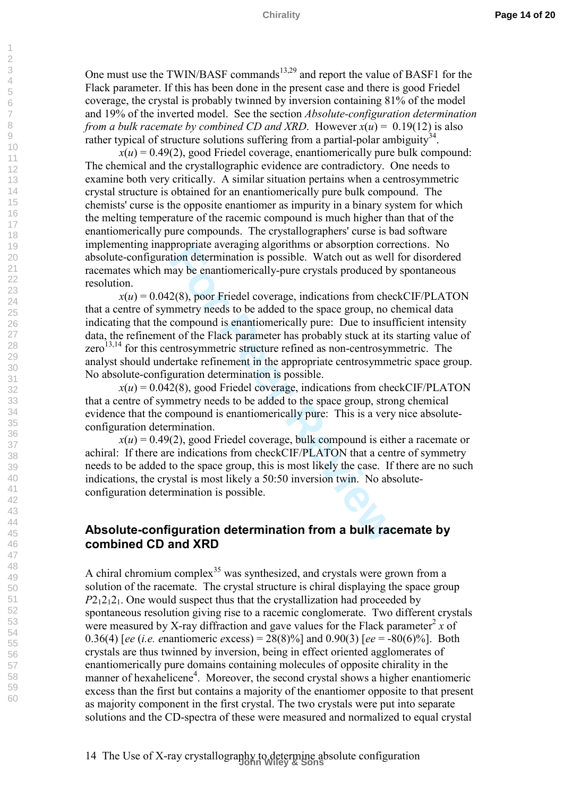One must use the TWIN/BASF commands<sup>13,29</sup> and report the value of BASF1 for the Flack parameter. If this has been done in the present case and there is good Friedel coverage, the crystal is probably twinned by inversion containing 81% of the model and 19% of the inverted model. See the section *Absolute-configuration determination from a bulk racemate by combined CD and XRD.* However  $x(u) = 0.19(12)$  is also rather typical of structure solutions suffering from a partial-polar ambiguity<sup>34</sup>.

 $x(u) = 0.49(2)$ , good Friedel coverage, enantiomerically pure bulk compound: The chemical and the crystallographic evidence are contradictory. One needs to examine both very critically. A similar situation pertains when a centrosymmetric crystal structure is obtained for an enantiomerically pure bulk compound. The chemists' curse is the opposite enantiomer as impurity in a binary system for which the melting temperature of the racemic compound is much higher than that of the enantiomerically pure compounds. The crystallographers' curse is bad software implementing inappropriate averaging algorithms or absorption corrections. No absolute-configuration determination is possible. Watch out as well for disordered racemates which may be enantiomerically-pure crystals produced by spontaneous resolution.

propriate averaging argorinms or absorption corrition determination is possible. Watch out as well<br>ay be enantiomerically-pure crystals produced by<br>2(8), poor Friedel coverage, indications from chean<br>mentry needs to be add  $x(u) = 0.042(8)$ , poor Friedel coverage, indications from checkCIF/PLATON that a centre of symmetry needs to be added to the space group, no chemical data indicating that the compound is enantiomerically pure: Due to insufficient intensity data, the refinement of the Flack parameter has probably stuck at its starting value of zero<sup>13,14</sup> for this centrosymmetric structure refined as non-centrosymmetric. The analyst should undertake refinement in the appropriate centrosymmetric space group. No absolute-configuration determination is possible.

 $x(u) = 0.042(8)$ , good Friedel coverage, indications from checkCIF/PLATON that a centre of symmetry needs to be added to the space group, strong chemical evidence that the compound is enantiomerically pure: This is a very nice absoluteconfiguration determination.

 $x(u) = 0.49(2)$ , good Friedel coverage, bulk compound is either a racemate or achiral: If there are indications from checkCIF/PLATON that a centre of symmetry needs to be added to the space group, this is most likely the case. If there are no such indications, the crystal is most likely a 50:50 inversion twin. No absoluteconfiguration determination is possible.

#### **Absolute-configuration determination from a bulk racemate by combined CD and XRD**

A chiral chromium complex<sup>35</sup> was synthesized, and crystals were grown from a solution of the racemate. The crystal structure is chiral displaying the space group  $P2_12_12_1$ . One would suspect thus that the crystallization had proceeded by spontaneous resolution giving rise to a racemic conglomerate. Two different crystals were measured by X-ray diffraction and gave values for the Flack parameter<sup>2</sup> x of 0.36(4) [*ee* (*i.e. e*nantiomeric *e*xcess) = 28(8)%] and 0.90(3) [*ee* = -80(6)%]. Both crystals are thus twinned by inversion, being in effect oriented agglomerates of enantiomerically pure domains containing molecules of opposite chirality in the manner of hexahelicene<sup>4</sup>. Moreover, the second crystal shows a higher enantiomeric excess than the first but contains a majority of the enantiomer opposite to that present as majority component in the first crystal. The two crystals were put into separate solutions and the CD-spectra of these were measured and normalized to equal crystal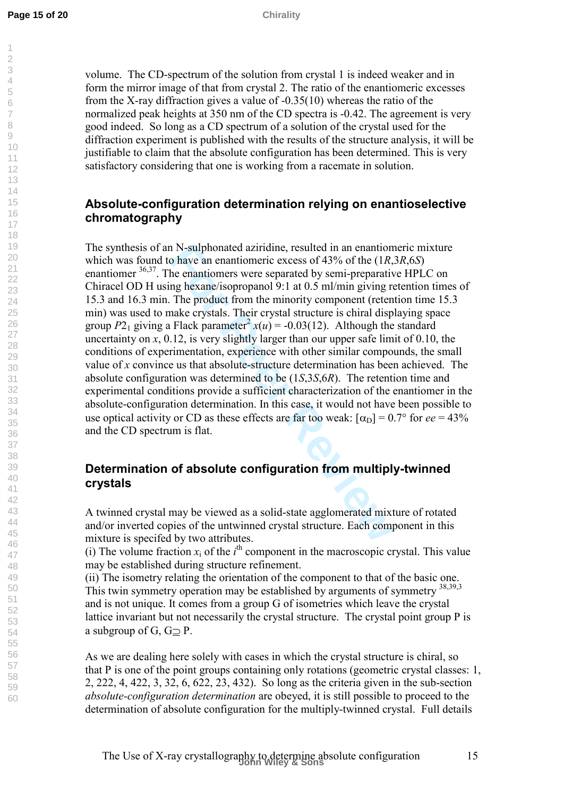$\overline{1}$  $\overline{2}$  $\overline{\mathcal{E}}$  $\overline{4}$ 5 6  $\overline{7}$ 8 9

volume. The CD-spectrum of the solution from crystal 1 is indeed weaker and in form the mirror image of that from crystal 2. The ratio of the enantiomeric excesses from the X-ray diffraction gives a value of -0.35(10) whereas the ratio of the normalized peak heights at 350 nm of the CD spectra is -0.42. The agreement is very good indeed. So long as a CD spectrum of a solution of the crystal used for the diffraction experiment is published with the results of the structure analysis, it will be justifiable to claim that the absolute configuration has been determined. This is very satisfactory considering that one is working from a racemate in solution.

#### **Absolute-configuration determination relying on enantioselective chromatography**

in N-sulphonated aziridine, resulted in an enantion<br>o have an enantiomeric excess of 43% of the (1*R*,<br>he enantiomers were separated by semi-preparative<br>ing hexane/isopropanol 9:1 at 0.5 ml/min giving rd<br>The product from The synthesis of an N-sulphonated aziridine, resulted in an enantiomeric mixture which was found to have an enantiomeric excess of 43% of the (1 *R*,3 *R*,6 *S*) enantiomer  $36,37$ . The enantiomers were separated by semi-preparative HPLC on Chiracel OD H using hexane/isopropanol 9:1 at 0.5 ml/min giving retention times of 15.3 and 16.3 min. The product from the minority component (retention time 15.3 min) was used to make crystals. Their crystal structure is chiral displaying space group  $P2_1$  giving a Flack parameter<sup>2</sup>  $x(u) = -0.03(12)$ . Although the standard uncertainty on  $x$ , 0.12, is very slightly larger than our upper safe limit of 0.10, the conditions of experimentation, experience with other similar compounds, the small value of *x* convince us that absolute-structure determination has been achieved. The absolute configuration was determined to be (1 *S*,3 *S*,6 *R*). The retention time and experimental conditions provide a sufficient characterization of the enantiomer in the absolute-configuration determination. In this case, it would not have been possible to use optical activity or CD as these effects are far too weak:  $[\alpha_{D}] = 0.7^{\circ}$  for  $ee = 43\%$ and the CD spectrum is flat.

#### **Determination of absolute configuration from multiply-twinned crystals**

A twinned crystal may be viewed as a solid-state agglomerated mixture of rotated and/or inverted copies of the untwinned crystal structure. Each component in this mixture is specifed by two attributes.

(i) The volume fraction  $x_i$  of the  $i^{\text{th}}$  component in the macroscopic crystal. This value may be established during structure refinement.

(ii) The isometry relating the orientation of the component to that of the basic one. This twin symmetry operation may be established by arguments of symmetry <sup>38,39,3</sup> and is not unique. It comes from a group G of isometries which leave the crystal lattice invariant but not necessarily the crystal structure. The crystal point group P is a subgroup of G,  $G \supseteq P$ .

As we are dealing here solely with cases in which the crystal structure is chiral, so that P is one of the point groups containing only rotations (geometric crystal classes: 1, 2, 222, 4, 422, 3, 32, 6, 622, 23, 432). So long as the criteria given in the sub-section *absolute-configuration determination* are obeyed, it is still possible to proceed to the determination of absolute configuration for the multiply-twinned crystal. Full details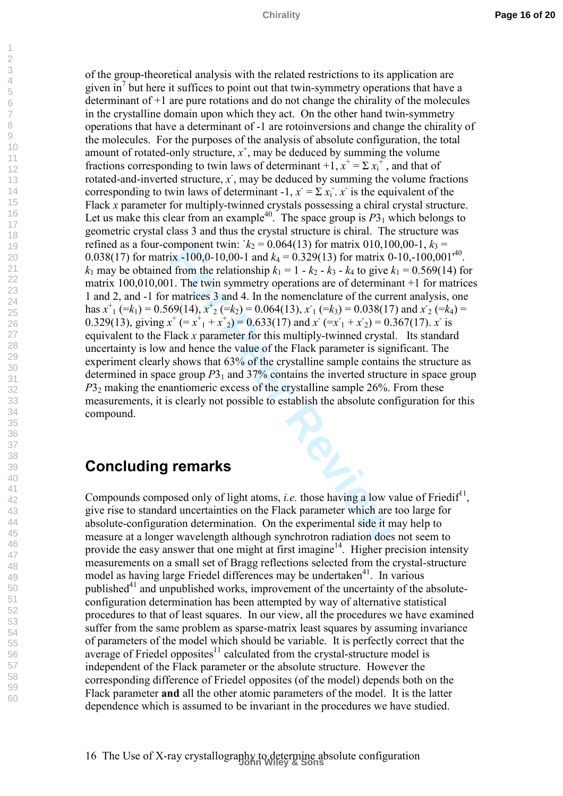original twin:  $k_2 = 0.064(13)$  for matrix 010,10<br>
ix -100,0-10,00-1 and  $k_4 = 0.329(13)$  for matrix 0<br>
from the relationship  $k_1 = 1 - k_2 - k_3 - k_4$  to give k<br>
1. The twin symmetry operations are of determine<br>
matrices 3 an of the group-theoretical analysis with the related restrictions to its application are given in<sup>7</sup> but here it suffices to point out that twin-symmetry operations that have a determinant of +1 are pure rotations and do not change the chirality of the molecules in the crystalline domain upon which they act. On the other hand twin-symmetry operations that have a determinant of -1 are rotoinversions and change the chirality of the molecules. For the purposes of the analysis of absolute configuration, the total amount of rotated-only structure,  $x^+$ , may be deduced by summing the volume fractions corresponding to twin laws of determinant +1,  $x^+ = \sum x_i^+$ , and that of rotated-and-inverted structure,  $x$ , may be deduced by summing the volume fractions corresponding to twin laws of determinant -1,  $x = \sum x_i$ . *x* is the equivalent of the Flack x parameter for multiply-twinned crystals possessing a chiral crystal structure. Let us make this clear from an example<sup>40</sup>. The space group is  $P_3$ <sub>1</sub> which belongs to geometric crystal class 3 and thus the crystal structure is chiral. The structure was refined as a four-component twin:  $k_2 = 0.064(13)$  for matrix 010,100,00-1,  $k_3 =$ 0.038(17) for matrix  $-100,0-10,00-1$  and  $k_4 = 0.329(13)$  for matrix 0-10,-100,001<sup>-40</sup>.  $k_1$  may be obtained from the relationship  $k_1 = 1 - k_2 - k_3 - k_4$  to give  $k_1 = 0.569(14)$  for matrix 100,010,001. The twin symmetry operations are of determinant +1 for matrices 1 and 2, and -1 for matrices 3 and 4. In the nomenclature of the current analysis, one has  $x_{1}^{+}$  (=k<sub>1</sub>) = 0.569(14),  $x_{2}^{+}$  (=k<sub>2</sub>) = 0.064(13),  $x_{1}$  (=k<sub>3</sub>) = 0.038(17) and  $x_{2}^{+}$  (=k<sub>4</sub>) = 0.329(13), giving  $x^+$  (=  $x^+$ <sub>1</sub> +  $x^+$ <sub>2</sub>) = 0.633(17) and  $x^-$  (= $x^-$ <sub>1</sub> +  $x^-$ <sub>2</sub>) = 0.367(17).  $x^-$  is equivalent to the Flack *x* parameter for this multiply-twinned crystal. Its standard uncertainty is low and hence the value of the Flack parameter is significant. The experiment clearly shows that 63% of the crystalline sample contains the structure as determined in space group  $P_3$  and  $37\%$  contains the inverted structure in space group P<sub>3</sub> making the enantiomeric excess of the crystalline sample 26%. From these measurements, it is clearly not possible to establish the absolute configuration for this compound.

### **Concluding remarks**

Compounds composed only of light atoms, *i.e.* those having a low value of Friedif<sup>11</sup>, give rise to standard uncertainties on the Flack parameter which are too large for absolute-configuration determination. On the experimental side it may help to measure at a longer wavelength although synchrotron radiation does not seem to provide the easy answer that one might at first imagine $14$ . Higher precision intensity measurements on a small set of Bragg reflections selected from the crystal-structure model as having large Friedel differences may be undertaken<sup>41</sup>. In various published $41$  and unpublished works, improvement of the uncertainty of the absoluteconfiguration determination has been attempted by way of alternative statistical procedures to that of least squares. In our view, all the procedures we have examined suffer from the same problem as sparse-matrix least squares by assuming invariance of parameters of the model which should be variable. It is perfectly correct that the average of Friedel opposites<sup>11</sup> calculated from the crystal-structure model is independent of the Flack parameter or the absolute structure. However the corresponding difference of Friedel opposites (of the model) depends both on the Flack parameter **and** all the other atomic parameters of the model. It is the latter dependence which is assumed to be invariant in the procedures we have studied.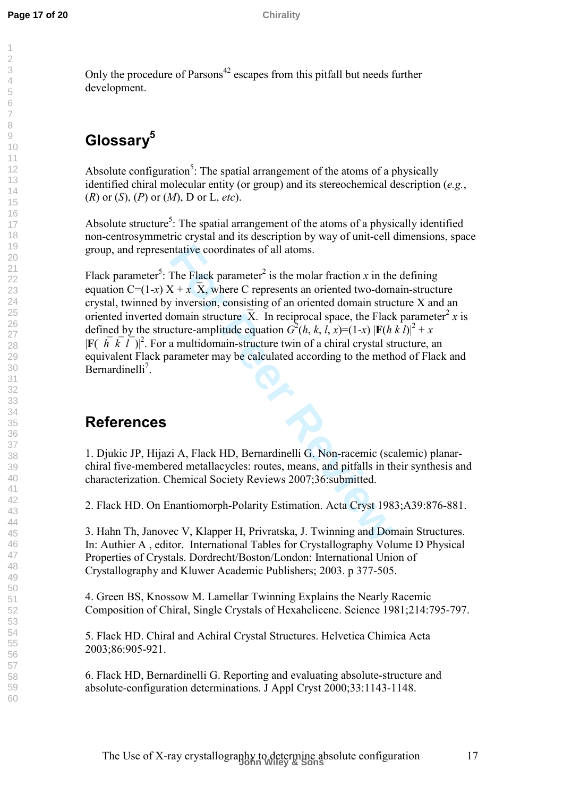$\overline{1}$  $\overline{2}$ 3  $\overline{4}$ 5 6 7 8  $\mathcal{G}$ 

Only the procedure of  $Parsons^{42}$  escapes from this pitfall but needs further development.

# **Glossary 5**

Absolute configuration<sup>5</sup>: The spatial arrangement of the atoms of a physically identified chiral molecular entity (or group) and its stereochemical description (*e.g.* , (*R* ) or ( *S*), (*P* ) or (*M*), D or L, *etc*).

Absolute structure<sup>5</sup>: The spatial arrangement of the atoms of a physically identified non-centrosymmetric crystal and its description by way of unit-cell dimensions, space group, and representative coordinates of all atoms.

mattive coordinates of all atoms.<br>
The Flack parameter<sup>2</sup> is the molar fraction x in the<br>  $K + x\overline{X}$ , where C represents an oriented two-dom<br>
inversion, consisting of an oriented domain structor<br>
inversion, consisting of Flack parameter<sup>5</sup>: The Flack parameter<sup>2</sup> is the molar fraction x in the defining equation  $C=(1-x)X + x^T X$ , where C represents an oriented two-domain-structure crystal, twinned by inversion, consisting of an oriented domain structure X and an oriented inverted domain structure  $\bar{X}$ . In reciprocal space, the Flack parameter<sup>2</sup> x is defined by the structure-amplitude equation  $G^2(h, k, l, x) = (1-x) |\mathbf{F}(h, k, l)|^2 + x$ |  $|\mathbf{F}(\hat{h} \overline{k} \overline{l})|^2$ . For a multidomain-structure twin of a chiral crystal structure, an equivalent Flack parameter may be calculated according to the method of Flack and Bernardinelli<sup>7</sup>.

## **References**

1. Djukic JP, Hijazi A, Flack HD, Bernardinelli G. Non-racemic (scalemic) planarchiral five-membered metallacycles: routes, means, and pitfalls in their synthesis and characterization. Chemical Society Reviews 2007;36:submitted.

2. Flack HD. On Enantiomorph-Polarity Estimation. Acta Cryst 1983;A39:876-881.

3. Hahn Th, Janovec V, Klapper H, Privratska, J. Twinning and Domain Structures. In: Authier A , editor. International Tables for Crystallography Volume D Physical Properties of Crystals. Dordrecht/Boston/London: International Union of Crystallography and Kluwer Academic Publishers; 2003. p 377-505.

4. Green BS, Knossow M. Lamellar Twinning Explains the Nearly Racemic Composition of Chiral, Single Crystals of Hexahelicene. Science 1981;214:795-797.

5. Flack HD. Chiral and Achiral Crystal Structures. Helvetica Chimica Acta 2003;86:905-921.

6. Flack HD, Bernardinelli G. Reporting and evaluating absolute-structure and absolute-configuration determinations. J Appl Cryst 2000;33:1143-1148.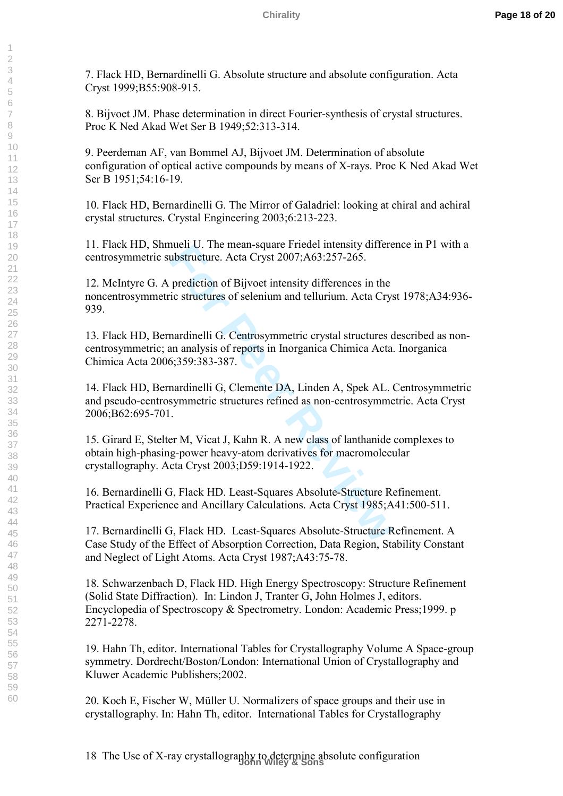7. Flack HD, Bernardinelli G. Absolute structure and absolute configuration. Acta Cryst 1999;B55:908-915.

8. Bijvoet JM. Phase determination in direct Fourier-synthesis of crystal structures. Proc K Ned Akad Wet Ser B 1949;52:313-314.

9. Peerdeman AF, van Bommel AJ, Bijvoet JM. Determination of absolute configuration of optical active compounds by means of X-rays. Proc K Ned Akad Wet Ser B 1951;54:16-19.

10. Flack HD, Bernardinelli G. The Mirror of Galadriel: looking at chiral and achiral crystal structures. Crystal Engineering 2003;6:213-223.

11. Flack HD, Shmueli U. The mean-square Friedel intensity difference in P1 with a centrosymmetric substructure. Acta Cryst 2007;A63:257-265.

12. McIntyre G. A prediction of Bijvoet intensity differences in the noncentrosymmetric structures of selenium and tellurium. Acta Cryst 1978;A34:936- 939.

13. Flack HD, Bernardinelli G. Centrosymmetric crystal structures described as noncentrosymmetric; an analysis of reports in Inorganica Chimica Acta. Inorganica Chimica Acta 2006;359:383-387.

The mean-square Frieder Intensity direct<br>
ubstructure. Acta Cryst 2007;A63:257-265.<br>
prediction of Bijvoet intensity differences in the<br>
ic structures of selenium and tellurium. Acta Crys<br>
nardinelli G. Centrosymmetric cry 14. Flack HD, Bernardinelli G, Clemente DA, Linden A, Spek AL. Centrosymmetric and pseudo-centrosymmetric structures refined as non-centrosymmetric. Acta Cryst 2006;B62:695-701.

15. Girard E, Stelter M, Vicat J, Kahn R. A new class of lanthanide complexes to obtain high-phasing-power heavy-atom derivatives for macromolecular crystallography. Acta Cryst 2003;D59:1914-1922.

16. Bernardinelli G, Flack HD. Least-Squares Absolute-Structure Refinement. Practical Experience and Ancillary Calculations. Acta Cryst 1985;A41:500-511.

17. Bernardinelli G, Flack HD. Least-Squares Absolute-Structure Refinement. A Case Study of the Effect of Absorption Correction, Data Region, Stability Constant and Neglect of Light Atoms. Acta Cryst 1987;A43:75-78.

18. Schwarzenbach D, Flack HD. High Energy Spectroscopy: Structure Refinement (Solid State Diffraction). In: Lindon J, Tranter G, John Holmes J, editors. Encyclopedia of Spectroscopy & Spectrometry. London: Academic Press;1999. p 2271-2278.

19. Hahn Th, editor. International Tables for Crystallography Volume A Space-group symmetry. Dordrecht/Boston/London: International Union of Crystallography and Kluwer Academic Publishers;2002.

20. Koch E, Fischer W, Müller U. Normalizers of space groups and their use in crystallography. In: Hahn Th, editor. International Tables for Crystallography

 $\overline{1}$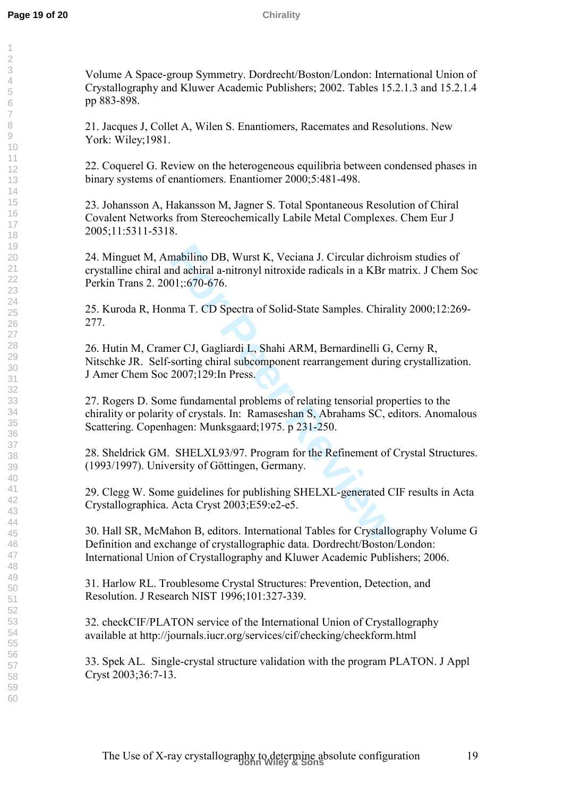$\overline{1}$  $\overline{2}$  $\overline{\mathcal{E}}$  $\Delta$ 5 6  $\overline{7}$ 8 9

Volume A Space-group Symmetry. Dordrecht/Boston/London: International Union of Crystallography and Kluwer Academic Publishers; 2002. Tables 15.2.1.3 and 15.2.1.4 pp 883-898.

21. Jacques J, Collet A, Wilen S. Enantiomers, Racemates and Resolutions. New York: Wiley; 1981.

22. Coquerel G. Review on the heterogeneous equilibria between condensed phases in binary systems of enantiomers. Enantiomer 2000;5:481-498.

23. Johansson A, Hakansson M, Jagner S. Total Spontaneous Resolution of Chiral Covalent Networks from Stereochemically Labile Metal Complexes. Chem Eur J 2005;11:5311-5318.

mabilino DB, Wurst K, Veciana J. Circular dichrend achiral a-nitronyl nitroxide radicals in a KBr m<br>01;:670-676.<br>Ima T. CD Spectra of Solid-State Samples. Chiral<br>ner CJ, Gagliardi L, Shahi ARM, Bernardinelli G,<br>sorting chi 24. Minguet M, Amabilino DB, Wurst K, Veciana J. Circular dichroism studies of crystalline chiral and achiral a-nitronyl nitroxide radicals in a KBr matrix. J Chem Soc Perkin Trans 2. 2001;:670-676.

25. Kuroda R, Honma T. CD Spectra of Solid-State Samples. Chirality 2000;12:269- 277.

26. Hutin M, Cramer CJ, Gagliardi L, Shahi ARM, Bernardinelli G, Cerny R, Nitschke JR. Self-sorting chiral subcomponent rearrangement during crystallization. J Amer Chem Soc 2007;129:In Press.

27. Rogers D. Some fundamental problems of relating tensorial properties to the chirality or polarity of crystals. In: Ramaseshan S, Abrahams SC, editors. Anomalous Scattering. Copenhagen: Munksgaard;1975. p 231-250.

28. Sheldrick GM. SHELXL93/97. Program for the Refinement of Crystal Structures. (1993/1997). University of Göttingen, Germany.

29. Clegg W. Some guidelines for publishing SHELXL-generated CIF results in Acta Crystallographica. Acta Cryst 2003;E59:e2-e5.

30. Hall SR, McMahon B, editors. International Tables for Crystallography Volume G Definition and exchange of crystallographic data. Dordrecht/Boston/London: International Union of Crystallography and Kluwer Academic Publishers; 2006.

31. Harlow RL. Troublesome Crystal Structures: Prevention, Detection, and Resolution. J Research NIST 1996;101:327-339.

32. checkCIF/PLATON service of the International Union of Crystallography available at http://journals.iucr.org/services/cif/checking/checkform.html

33. Spek AL. Single-crystal structure validation with the program PLATON. J Appl Cryst 2003;36:7-13.